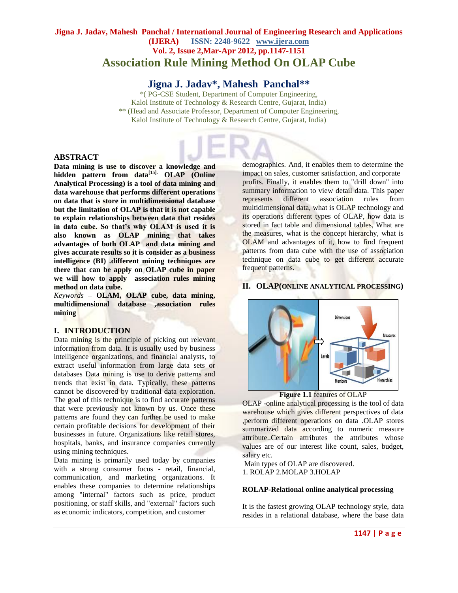# **Jigna J. Jadav, Mahesh Panchal / International Journal of Engineering Research and Applications (IJERA) ISSN: 2248-9622 www.ijera.com Vol. 2, Issue 2,Mar-Apr 2012, pp.1147-1151 Association Rule Mining Method On OLAP Cube**

# **Jigna J. Jadav\*, Mahesh Panchal\*\***

\*( PG-CSE Student, Department of Computer Engineering, Kalol Institute of Technology & Research Centre, Gujarat, India) \*\* (Head and Associate Professor, Department of Computer Engineering, Kalol Institute of Technology & Research Centre, Gujarat, India)

#### **ABSTRACT**

**Data mining is use to discover a knowledge and hidden pattern from data[15]. OLAP (Online Analytical Processing) is a tool of data mining and data warehouse that performs different operations on data that is store in multidimensional database but the limitation of OLAP is that it is not capable to explain relationships between data that resides in data cube. So that's why OLAM is used it is also known as OLAP mining that takes advantages of both OLAP and data mining and gives accurate results so it is consider as a business intelligence (BI) .different mining techniques are there that can be apply on OLAP cube in paper we will how to apply association rules mining method on data cube.**

*Keywords* **– OLAM, OLAP cube, data mining, multidimensional database ,association rules mining**

#### **I. INTRODUCTION**

Data mining is the principle of picking out relevant information from data. It is usually used by business intelligence organizations, and financial analysts, to extract useful information from large data sets or databases Data mining is use to derive patterns and trends that exist in data. Typically, these patterns cannot be discovered by traditional data exploration. The goal of this technique is to find accurate patterns that were previously not known by us. Once these patterns are found they can further be used to make certain profitable decisions for development of their businesses in future. Organizations like retail stores, hospitals, banks, and insurance companies currently using mining techniques.

Data mining is primarily used today by companies with a strong consumer focus - retail, financial, communication, and marketing organizations. It enables these companies to determine relationships among "internal" factors such as price, product positioning, or staff skills, and "external" factors such as economic indicators, competition, and customer

demographics. And, it enables them to determine the impact on sales, customer satisfaction, and corporate profits. Finally, it enables them to "drill down" into summary information to view detail data. This paper represents different association rules from multidimensional data, what is OLAP technology and its operations different types of OLAP, how data is stored in fact table and dimensional tables, What are the measures, what is the concept hierarchy, what is OLAM and advantages of it, how to find frequent patterns from data cube with the use of association technique on data cube to get different accurate frequent patterns.

#### **II. OLAP(ONLINE ANALYTICAL PROCESSING)**



**Figure 1.1** features of OLAP

OLAP -online analytical processing is the tool of data warehouse which gives different perspectives of data ,perform different operations on data .OLAP stores summarized data according to numeric measure attribute..Certain attributes the attributes whose values are of our interest like count, sales, budget, salary etc.

Main types of OLAP are discovered. 1. ROLAP 2.MOLAP 3.HOLAP

#### **ROLAP-Relational online analytical processing**

It is the fastest growing OLAP technology style, data resides in a relational database, where the base data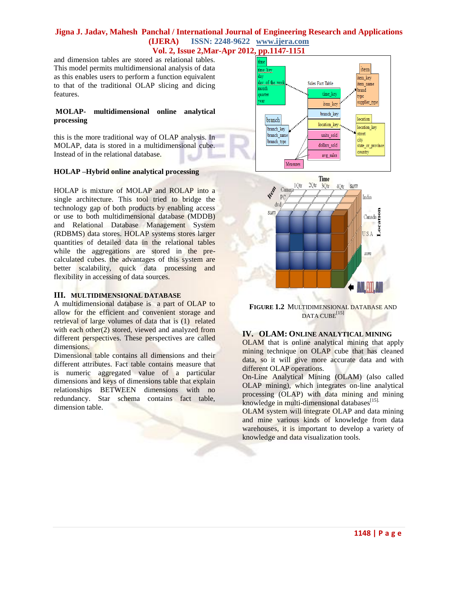#### **Jigna J. Jadav, Mahesh Panchal / International Journal of Engineering Research and Applications (IJERA) ISSN: 2248-9622 www.ijera.com Vol. 2, Issue 2,Mar-Apr 2012, pp.1147-1151**

and dimension tables are stored as relational tables. This model permits multidimensional analysis of data as this enables users to perform a function equivalent to that of the traditional OLAP slicing and dicing features.

#### **MOLAP- multidimensional online analytical processing**

this is the more traditional way of OLAP analysis. In MOLAP, data is stored in a multidimensional cube. Instead of in the relational database.

#### **HOLAP –Hybrid online analytical processing**

HOLAP is mixture of MOLAP and ROLAP into a single architecture. This tool tried to bridge the technology gap of both products by enabling access or use to both multidimensional database (MDDB) and Relational Database Management System (RDBMS) data stores. HOLAP systems stores larger quantities of detailed data in the relational tables while the aggregations are stored in the precalculated cubes. the advantages of this system are better scalability, quick data processing and flexibility in accessing of data sources.

#### **III. MULTIDIMENSIONAL DATABASE**

A multidimensional database is a part of OLAP to allow for the efficient and convenient storage and retrieval of large volumes of data that is (1) related with each other(2) stored, viewed and analyzed from different perspectives. These perspectives are called dimensions.

Dimensional table contains all dimensions and their different attributes. Fact table contains measure that is numeric aggregated value of a particular dimensions and keys of dimensions table that explain relationships BETWEEN dimensions with no redundancy. Star schema contains fact table, dimension table.





**FIGURE 1.2** MULTIDIMENSIONAL DATABASE AND DATA CUBE<sup>[15]</sup>

#### **IV. OLAM: ONLINE ANALYTICAL MINING**

OLAM that is online analytical mining that apply mining technique on OLAP cube that has cleaned data, so it will give more accurate data and with different OLAP operations.

On-Line Analytical Mining (OLAM) (also called OLAP mining), which integrates on-line analytical processing (OLAP) with data mining and mining knowledge in multi-dimensional databases<sup>[15].</sup>

OLAM system will integrate OLAP and data mining and mine various kinds of knowledge from data warehouses, it is important to develop a variety of knowledge and data visualization tools.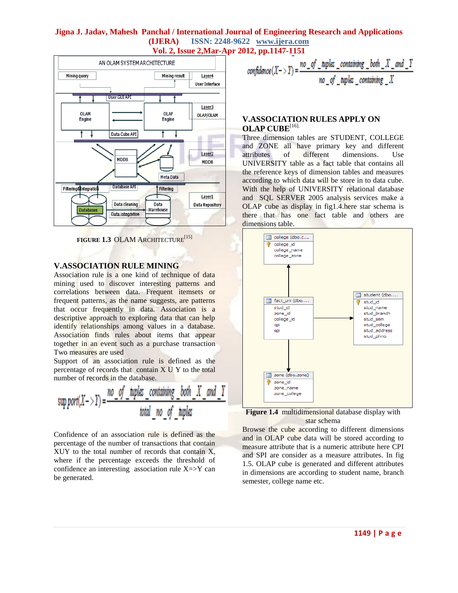## **Jigna J. Jadav, Mahesh Panchal / International Journal of Engineering Research and Applications (IJERA) ISSN: 2248-9622 www.ijera.com Vol. 2, Issue 2,Mar-Apr 2012, pp.1147-1151**



**FIGURE 1.3 OLAM ARCHITECTURE**<sup>[15]</sup>

#### **V.ASSOCIATION RULE MINING**

Association rule is a one kind of technique of data mining used to discover interesting patterns and correlations between data. Frequent itemsets or frequent patterns, as the name suggests, are patterns that occur frequently in data. Association is a descriptive approach to exploring data that can help identify relationships among values in a database. Association finds rules about items that appear together in an event such as a purchase transaction Two measures are used

Support of an association rule is defined as the percentage of records that contain X U Y to the total number of records in the database.

$$
sup\,port(X->Y) = \frac{no\_of\_tuples\_containing\_both\_X\_and\_Y}{total\_no\_of\_tuples}
$$

Confidence of an association rule is defined as the percentage of the number of transactions that contain XUY to the total number of records that contain X, where if the percentage exceeds the threshold of confidence an interesting association rule  $X = > Y$  can be generated.

$$
confidence(X->Y) = \frac{no\_of\_tuples\_containing\_both\_X\_and\_Y}{no\_of\_tuples\_containing\_X}
$$

#### **V.ASSOCIATION RULES APPLY ON OLAP CUBE**[16].

Three dimension tables are STUDENT, COLLEGE and ZONE all have primary key and different attributes of different dimensions. Use UNIVERSITY table as a fact table that contains all the reference keys of dimension tables and measures according to which data will be store in to data cube. With the help of UNIVERSITY relational database and SQL SERVER 2005 analysis services make a OLAP cube as display in fig1.4.here star schema is there that has one fact table and others are dimensions table.





Browse the cube according to different dimensions and in OLAP cube data will be stored according to measure attribute that is a numeric attribute here CPI and SPI are consider as a measure attributes. In fig 1.5. OLAP cube is generated and different attributes in dimensions are according to student name, branch semester, college name etc.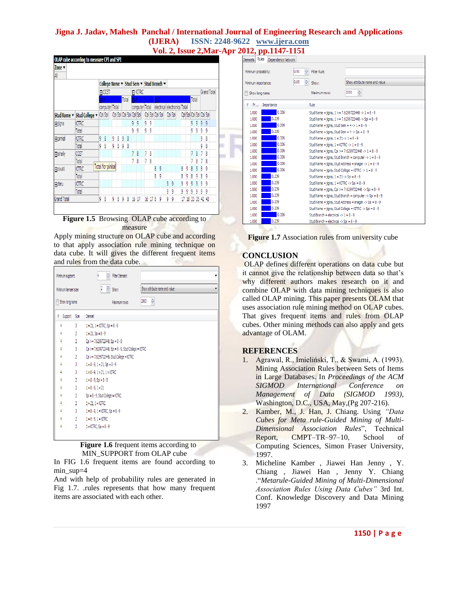# **Jigna J. Jadav, Mahesh Panchal / International Journal of Engineering Research and Applications (IJERA) ISSN: 2248-9622 www.ijera.com**

**Vol. 2, Issue 2,Mar-Apr 2012, pp.1147-1151**

|                |                            |                         | College Name ▼ Stud Sem ▼ Stud Branch ▼ |   |   |                         |   |    |                |   |           |                 |   |   |                              |    |                         |   |             |             |   |
|----------------|----------------------------|-------------------------|-----------------------------------------|---|---|-------------------------|---|----|----------------|---|-----------|-----------------|---|---|------------------------------|----|-------------------------|---|-------------|-------------|---|
|                |                            | <b>FICCET</b>           |                                         |   |   |                         |   |    | <b>E KITRC</b> |   |           |                 |   |   |                              |    |                         |   | Grand Total |             |   |
|                |                            |                         | Π4                                      |   |   | Total                   |   | A  |                |   | $\Box$ 2  |                 |   |   |                              |    | lotal                   |   |             |             |   |
|                |                            |                         | computer Total                          |   |   |                         |   |    | computer Total |   |           |                 |   |   | electrical electronics Total |    |                         |   |             |             |   |
|                | Stud Name v Stud College v |                         | Cpi Spi                                 |   |   | Cpi Spi Cpi Spi Cpi Spi |   |    |                |   |           | Cpi Spi Cpi Spi |   |   | Cpi Spi                      |    | Cpi Spi Cpi Spi Cpi Spi |   |             |             |   |
| 日 jigna        | KITRC                      |                         |                                         |   |   |                         |   | g  | 9              | 9 | 9         |                 |   |   |                              |    |                         | 9 | 9           | 9           | 9 |
|                | Total                      |                         |                                         |   |   |                         |   | g  | g              | g | 9         |                 |   |   |                              |    |                         | 9 | 9           | 9           | 9 |
| <b>日pinkal</b> | <b>KITRC</b>               | 9                       | 8                                       | 9 | 8 | 9                       | 8 |    |                |   |           |                 |   |   |                              |    |                         |   |             | 9           | 8 |
|                | Total                      | 9                       | 8                                       | 9 | 8 | 9                       | 8 |    |                |   |           |                 |   |   |                              |    |                         |   |             | 9           | 8 |
| $\Box$ shaily  | CCET                       |                         |                                         |   |   |                         |   |    | 8              | 7 | 8         |                 |   |   |                              |    |                         | 7 | 8           | 7           | 8 |
|                | Total                      |                         |                                         |   |   |                         |   |    | 8              | 7 | 8         |                 |   |   |                              |    |                         |   | 8           |             | 8 |
| $\Box$ swati   | KITRC                      | <b>Total for pinkal</b> |                                         |   |   |                         |   |    |                |   |           | 8               | 9 |   |                              | 8  | 9                       | 8 | 9           | 8           | 9 |
|                | Total                      |                         |                                         |   |   |                         |   |    |                | 8 |           |                 | 9 |   |                              | 8  | 9                       | 8 | 9           | 8           | 9 |
| 日 taru         | KITRC                      |                         |                                         |   |   |                         |   |    |                |   |           |                 |   | 9 | g                            | 9  | 9                       | 9 | 9           | 9           | 9 |
|                | Total                      |                         |                                         |   |   |                         |   |    |                |   |           |                 |   | 9 | 9                            | 9  | 9                       | 9 | 9           | ğ           | g |
| Grand Total    |                            | 9                       | 8                                       | 9 | 8 | 9                       | 8 | 16 | 17             |   | $16 \t17$ | 8               | 9 | 9 | 9                            | 17 | 18                      |   |             | 33 35 42 43 |   |

#### Figure 1.5 Browsing OLAP cube according to measure

Apply mining structure on OLAP cube and according to that apply association rule mining technique on data cube. It will gives the different frequent items and rules from the data cube.

| Minimum support:      |                | $\frac{\mathbf{A}}{\mathbf{v}}$<br>Filter Itemset:                     |  |  |  |  |  |  |  |  |  |  |
|-----------------------|----------------|------------------------------------------------------------------------|--|--|--|--|--|--|--|--|--|--|
| Minimum itemset size: |                | $\frac{A}{x}$ Show:<br>$\overline{2}$<br>Show attribute name and value |  |  |  |  |  |  |  |  |  |  |
| Show long name        |                | $\frac{A}{\tau}$<br>2000<br>Maximum rows:                              |  |  |  |  |  |  |  |  |  |  |
| Support Size<br>٣     |                | <b>Itemset</b>                                                         |  |  |  |  |  |  |  |  |  |  |
| 4                     | 3              | 1 = 21, 1 = KITRC, Spi = 8 - 9                                         |  |  |  |  |  |  |  |  |  |  |
| 4                     | $\overline{2}$ | $1 = Z1$ , Spi = $8 - 9$                                               |  |  |  |  |  |  |  |  |  |  |
| 4                     | $\overline{2}$ | Cpi >= 7.6299722448, Spi = 8 - 9                                       |  |  |  |  |  |  |  |  |  |  |
| 4                     | 3              | Cpi >= 7.6299722448, Spi = 8 - 9, Stud College = KITRC                 |  |  |  |  |  |  |  |  |  |  |
| 4                     | $\overline{2}$ | Cpi >= 7.6299722448, Stud College = KITRC                              |  |  |  |  |  |  |  |  |  |  |
| 4                     | 3              | $1 = 8 - 9$ , $1 = 21$ , Spi = $8 - 9$                                 |  |  |  |  |  |  |  |  |  |  |
| 4                     | 3              | $1 = 8 - 9$ , $1 = 21$ , $1 = KITRC$                                   |  |  |  |  |  |  |  |  |  |  |
| 4                     | $\overline{2}$ | $1 = 8 - 9$ , Spi = $8 - 9$                                            |  |  |  |  |  |  |  |  |  |  |
| 4                     | $\overline{2}$ | $1 = 8 - 9, 1 = 21$                                                    |  |  |  |  |  |  |  |  |  |  |
| 4                     | $\overline{2}$ | Spi = 8 - 9, Stud College = KITRC                                      |  |  |  |  |  |  |  |  |  |  |
| 4                     | $\overline{2}$ | $1 = Z1$ , $1 = KITRC$                                                 |  |  |  |  |  |  |  |  |  |  |
| 4                     | 3              | 1 = 8 - 9, 1 = KITRC, Spi = 8 - 9                                      |  |  |  |  |  |  |  |  |  |  |
| 4                     | $\overline{2}$ | $1 = 8 - 9$ , $1 =$ KITRC                                              |  |  |  |  |  |  |  |  |  |  |
| 4                     | $\overline{2}$ | $1 =$ KITRC, Spi = $8 - 9$                                             |  |  |  |  |  |  |  |  |  |  |

**Figure 1.6** frequent items according to MIN\_SUPPORT from OLAP cube

In FIG 1.6 frequent items are found according to min\_sup=4

And with help of probability rules are generated in Fig 1.7. .rules represents that how many frequent items are associated with each other.

| Itemsets Rules              | Dependency Network |                                 |                                                       |                                                                     |  |  |  |  |  |
|-----------------------------|--------------------|---------------------------------|-------------------------------------------------------|---------------------------------------------------------------------|--|--|--|--|--|
| Minimum probability:        |                    | ÷<br>0.90                       | Filter Rule:                                          |                                                                     |  |  |  |  |  |
| 0.08<br>Minimum importance: |                    | $\frac{\mathbf{A}}{\mathbf{v}}$ | Show:                                                 | Show attribute name and value                                       |  |  |  |  |  |
| Show long name              |                    |                                 | Maximum rows:                                         | ÷<br>2000                                                           |  |  |  |  |  |
| $\nabla$ Pr                 | Importance         |                                 | Rule                                                  |                                                                     |  |  |  |  |  |
| 1.000                       | 0.336              |                                 |                                                       | Stud Name = jigna, 1 > = 7.6299722448 -> 1 = 8 - 9                  |  |  |  |  |  |
| 1.000                       | 0.239              |                                 |                                                       | Stud Name = jigna, 1 > = 7.6299722448 -> Spi = 8 - 9                |  |  |  |  |  |
| 1.000                       | 0.336              |                                 |                                                       | Stud Name = jigna, Stud Sem = $4 \cdot > 1 = 8 - 9$ ·               |  |  |  |  |  |
| 1.000                       | 0.239              |                                 |                                                       | Stud Name = iigna, Stud Sem = 4 -> Spi = 8 - 9                      |  |  |  |  |  |
| 1.000                       | 0.336              |                                 | Stud Name = jigna, $1 = Z1 - 1 = 8 - 9$               |                                                                     |  |  |  |  |  |
| 1.000                       | 0.336              |                                 |                                                       | Stud Name = $i$ iona, $1 = KITRC - > 1 = 8 - 9$                     |  |  |  |  |  |
| 1.000                       | 0.336              |                                 |                                                       | Stud Name = jigna, Cpi >= 7.6299722448 -> 1 = 8 - 9                 |  |  |  |  |  |
| 1.000                       | 0.336              |                                 |                                                       | Stud Name = iigna, Stud Branch = computer $\cdot$ > 1 = 8 $\cdot$ 9 |  |  |  |  |  |
| 1.000                       | 0.336              |                                 |                                                       | Stud Name = iigna, Stud Address = snagar $\rightarrow$ 1 = 8 - 9    |  |  |  |  |  |
| 1.000                       | 0.336              |                                 |                                                       | Stud Name = jigna, Stud College = KITRC -> 1 = 8 - 9                |  |  |  |  |  |
| 1.000                       | 0.239              |                                 | Stud Name = iigna, $1 = Z1 \rightarrow$ Spi = $8 - 9$ |                                                                     |  |  |  |  |  |
| 1.000                       | 0.239              |                                 |                                                       | Stud Name = jigna, $1 =$ KITRC -> Spi = $8 - 9$                     |  |  |  |  |  |
| 1.000                       | 0.239              |                                 |                                                       | Stud Name = jigna, Cpi >= 7,6299722448 -> Spi = 8 - 9               |  |  |  |  |  |
| 1.000                       | 0.239              |                                 |                                                       | Stud Name = figna, Stud Branch = computer -> Spi = 8 - 9            |  |  |  |  |  |
| 1.000                       | 0.239              |                                 |                                                       | Stud Name = iigna, Stud Address = snagar -> Spi = 8 - 9             |  |  |  |  |  |
| 1.000                       | 0.239              |                                 |                                                       | Stud Name = iigna, Stud College = KITRC -> Spi = 8 - 9              |  |  |  |  |  |
| 1.000                       | 0.336              |                                 | Stud Branch = electrical -> $1 = 8 - 9$               |                                                                     |  |  |  |  |  |
| 1.000                       | 0.239              |                                 | Stud Branch = electrical $\rightarrow$ Spi = 8 - 9    |                                                                     |  |  |  |  |  |
|                             |                    |                                 |                                                       |                                                                     |  |  |  |  |  |

**Figure 1.7** Association rules from university cube

## **CONCLUSION**

OLAP defines different operations on data cube but it cannot give the relationship between data so that's why different authors makes research on it and combine OLAP with data mining techniques is also called OLAP mining. This paper presents OLAM that uses association rule mining method on OLAP cubes. That gives frequent items and rules from OLAP cubes. Other mining methods can also apply and gets advantage of OLAM.

## **REFERENCES**

- 1. Agrawal, R., Imieliński, T., & Swami, A. (1993). Mining Association Rules between Sets of Items in Large Databases. In *Proceedings of the ACM SIGMOD International Conference on Management of Data (SIGMOD 1993)*, Washington, D.C., USA, May,(Pg 207-216).
- 2. Kamber, M., J. Han, J. Chiang. Using *"Data Cubes for Meta rule-Guided Mining of Multi-Dimensional Association Rules*", Technical Report, CMPT–TR–97–10, School of Computing Sciences, Simon Fraser University, 1997.
- 3. Micheline Kamber , Jiawei Han Jenny , Y. Chiang , Jiawei Han , Jenny Y. Chiang ."*Metarule-Guided Mining of Multi-Dimensional Association Rules Using Data Cubes"* 3rd Int. Conf. Knowledge Discovery and Data Mining 1997